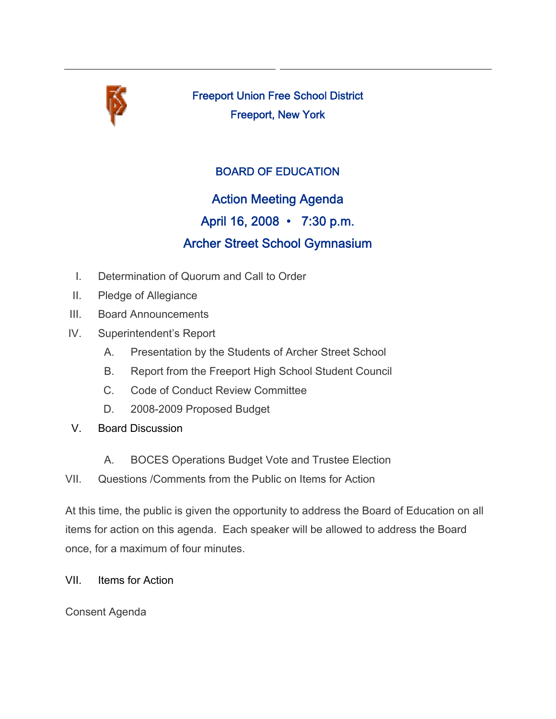

Freeport Union Free School District Freeport, New York

## BOARD OF EDUCATION

Action Meeting Agenda April 16, 2008 • 7:30 p.m. Archer Street School Gymnasium

- I. Determination of Quorum and Call to Order
- II. Pledge of Allegiance
- III. Board Announcements
- IV. Superintendent's Report
	- A. Presentation by the Students of Archer Street School
	- B. Report from the Freeport High School Student Council
	- C. Code of Conduct Review Committee
	- D. 2008-2009 Proposed Budget
- V. Board Discussion
	- A. BOCES Operations Budget Vote and Trustee Election
- VII. Questions /Comments from the Public on Items for Action

At this time, the public is given the opportunity to address the Board of Education on all items for action on this agenda. Each speaker will be allowed to address the Board once, for a maximum of four minutes.

VII. Items for Action

Consent Agenda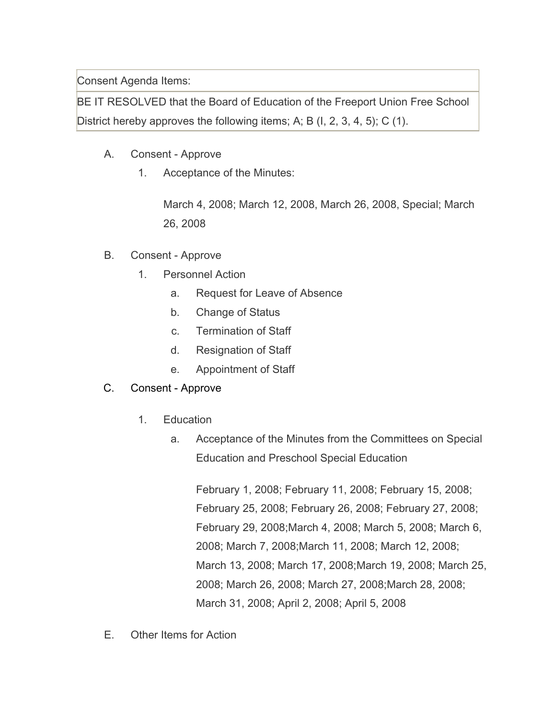Consent Agenda Items:

BE IT RESOLVED that the Board of Education of the Freeport Union Free School District hereby approves the following items; A; B (I, 2, 3, 4, 5); C (1).

- A. Consent Approve
	- 1. Acceptance of the Minutes:

March 4, 2008; March 12, 2008, March 26, 2008, Special; March 26, 2008

- B. Consent Approve
	- 1. Personnel Action
		- a. Request for Leave of Absence
		- b. Change of Status
		- c. Termination of Staff
		- d. Resignation of Staff
		- e. Appointment of Staff

## C. Consent - Approve

- 1. Education
	- a. Acceptance of the Minutes from the Committees on Special Education and Preschool Special Education

February 1, 2008; February 11, 2008; February 15, 2008; February 25, 2008; February 26, 2008; February 27, 2008; February 29, 2008;March 4, 2008; March 5, 2008; March 6, 2008; March 7, 2008;March 11, 2008; March 12, 2008; March 13, 2008; March 17, 2008;March 19, 2008; March 25, 2008; March 26, 2008; March 27, 2008;March 28, 2008; March 31, 2008; April 2, 2008; April 5, 2008

E. Other Items for Action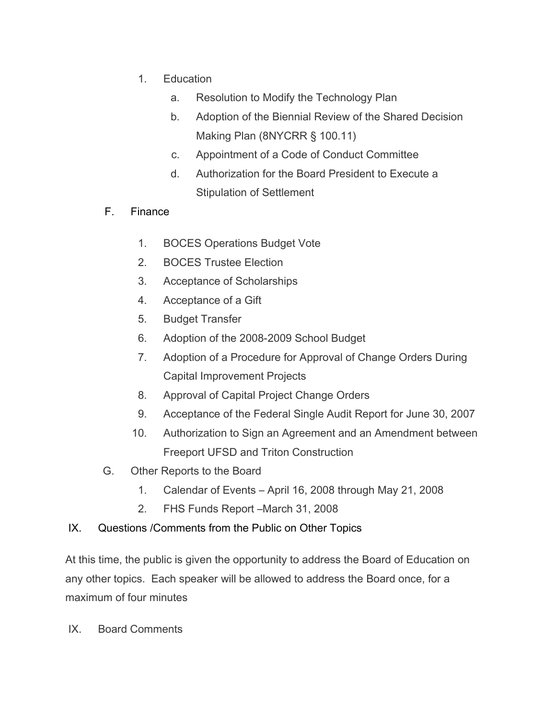- 1. Education
	- a. Resolution to Modify the Technology Plan
	- b. Adoption of the Biennial Review of the Shared Decision Making Plan (8NYCRR § 100.11)
	- c. Appointment of a Code of Conduct Committee
	- d. Authorization for the Board President to Execute a Stipulation of Settlement
- F. Finance
	- 1. BOCES Operations Budget Vote
	- 2. BOCES Trustee Election
	- 3. Acceptance of Scholarships
	- 4. Acceptance of a Gift
	- 5. Budget Transfer
	- 6. Adoption of the 2008-2009 School Budget
	- 7. Adoption of a Procedure for Approval of Change Orders During Capital Improvement Projects
	- 8. Approval of Capital Project Change Orders
	- 9. Acceptance of the Federal Single Audit Report for June 30, 2007
	- 10. Authorization to Sign an Agreement and an Amendment between Freeport UFSD and Triton Construction
- G. Other Reports to the Board
	- 1. Calendar of Events April 16, 2008 through May 21, 2008
	- 2. FHS Funds Report –March 31, 2008
- IX. Questions /Comments from the Public on Other Topics

At this time, the public is given the opportunity to address the Board of Education on any other topics. Each speaker will be allowed to address the Board once, for a maximum of four minutes

IX. Board Comments